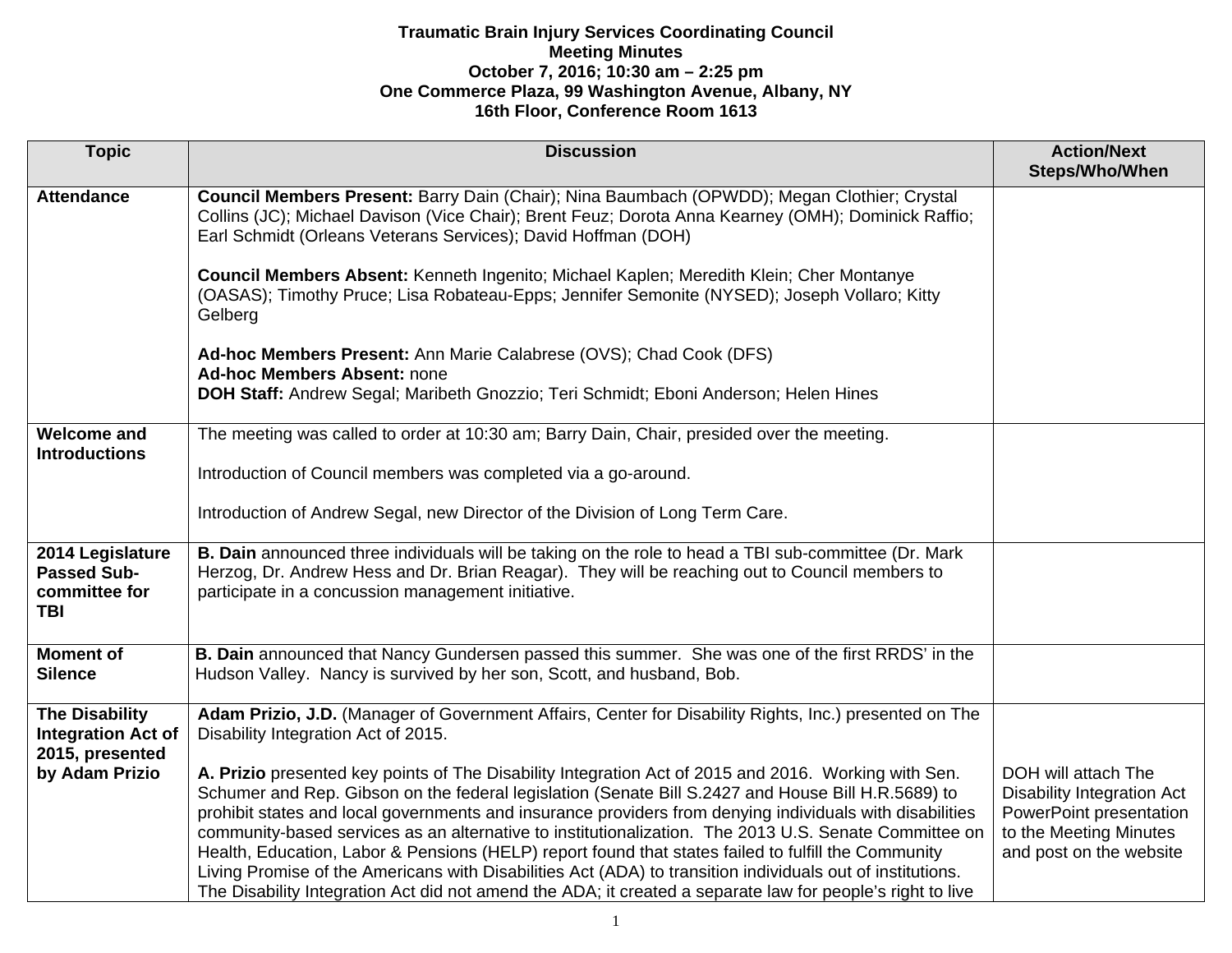| <b>Topic</b>                                                                            | <b>Discussion</b>                                                                                                                                                                                                                                                                                                                                                                                                                                                                                                                                                                                                                                                                                                                                                                                                                                                                                                   | <b>Action/Next</b><br>Steps/Who/When                                                                                                     |
|-----------------------------------------------------------------------------------------|---------------------------------------------------------------------------------------------------------------------------------------------------------------------------------------------------------------------------------------------------------------------------------------------------------------------------------------------------------------------------------------------------------------------------------------------------------------------------------------------------------------------------------------------------------------------------------------------------------------------------------------------------------------------------------------------------------------------------------------------------------------------------------------------------------------------------------------------------------------------------------------------------------------------|------------------------------------------------------------------------------------------------------------------------------------------|
| <b>Attendance</b>                                                                       | Council Members Present: Barry Dain (Chair); Nina Baumbach (OPWDD); Megan Clothier; Crystal<br>Collins (JC); Michael Davison (Vice Chair); Brent Feuz; Dorota Anna Kearney (OMH); Dominick Raffio;<br>Earl Schmidt (Orleans Veterans Services); David Hoffman (DOH)<br>Council Members Absent: Kenneth Ingenito; Michael Kaplen; Meredith Klein; Cher Montanye<br>(OASAS); Timothy Pruce; Lisa Robateau-Epps; Jennifer Semonite (NYSED); Joseph Vollaro; Kitty<br>Gelberg<br>Ad-hoc Members Present: Ann Marie Calabrese (OVS); Chad Cook (DFS)<br><b>Ad-hoc Members Absent: none</b><br>DOH Staff: Andrew Segal; Maribeth Gnozzio; Teri Schmidt; Eboni Anderson; Helen Hines                                                                                                                                                                                                                                       |                                                                                                                                          |
| <b>Welcome and</b><br><b>Introductions</b>                                              | The meeting was called to order at 10:30 am; Barry Dain, Chair, presided over the meeting.<br>Introduction of Council members was completed via a go-around.<br>Introduction of Andrew Segal, new Director of the Division of Long Term Care.                                                                                                                                                                                                                                                                                                                                                                                                                                                                                                                                                                                                                                                                       |                                                                                                                                          |
| 2014 Legislature<br><b>Passed Sub-</b><br>committee for<br><b>TBI</b>                   | B. Dain announced three individuals will be taking on the role to head a TBI sub-committee (Dr. Mark<br>Herzog, Dr. Andrew Hess and Dr. Brian Reagar). They will be reaching out to Council members to<br>participate in a concussion management initiative.                                                                                                                                                                                                                                                                                                                                                                                                                                                                                                                                                                                                                                                        |                                                                                                                                          |
| <b>Moment of</b><br><b>Silence</b>                                                      | B. Dain announced that Nancy Gundersen passed this summer. She was one of the first RRDS' in the<br>Hudson Valley. Nancy is survived by her son, Scott, and husband, Bob.                                                                                                                                                                                                                                                                                                                                                                                                                                                                                                                                                                                                                                                                                                                                           |                                                                                                                                          |
| <b>The Disability</b><br><b>Integration Act of</b><br>2015, presented<br>by Adam Prizio | Adam Prizio, J.D. (Manager of Government Affairs, Center for Disability Rights, Inc.) presented on The<br>Disability Integration Act of 2015.<br>A. Prizio presented key points of The Disability Integration Act of 2015 and 2016. Working with Sen.<br>Schumer and Rep. Gibson on the federal legislation (Senate Bill S.2427 and House Bill H.R.5689) to<br>prohibit states and local governments and insurance providers from denying individuals with disabilities<br>community-based services as an alternative to institutionalization. The 2013 U.S. Senate Committee on<br>Health, Education, Labor & Pensions (HELP) report found that states failed to fulfill the Community<br>Living Promise of the Americans with Disabilities Act (ADA) to transition individuals out of institutions.<br>The Disability Integration Act did not amend the ADA; it created a separate law for people's right to live | DOH will attach The<br><b>Disability Integration Act</b><br>PowerPoint presentation<br>to the Meeting Minutes<br>and post on the website |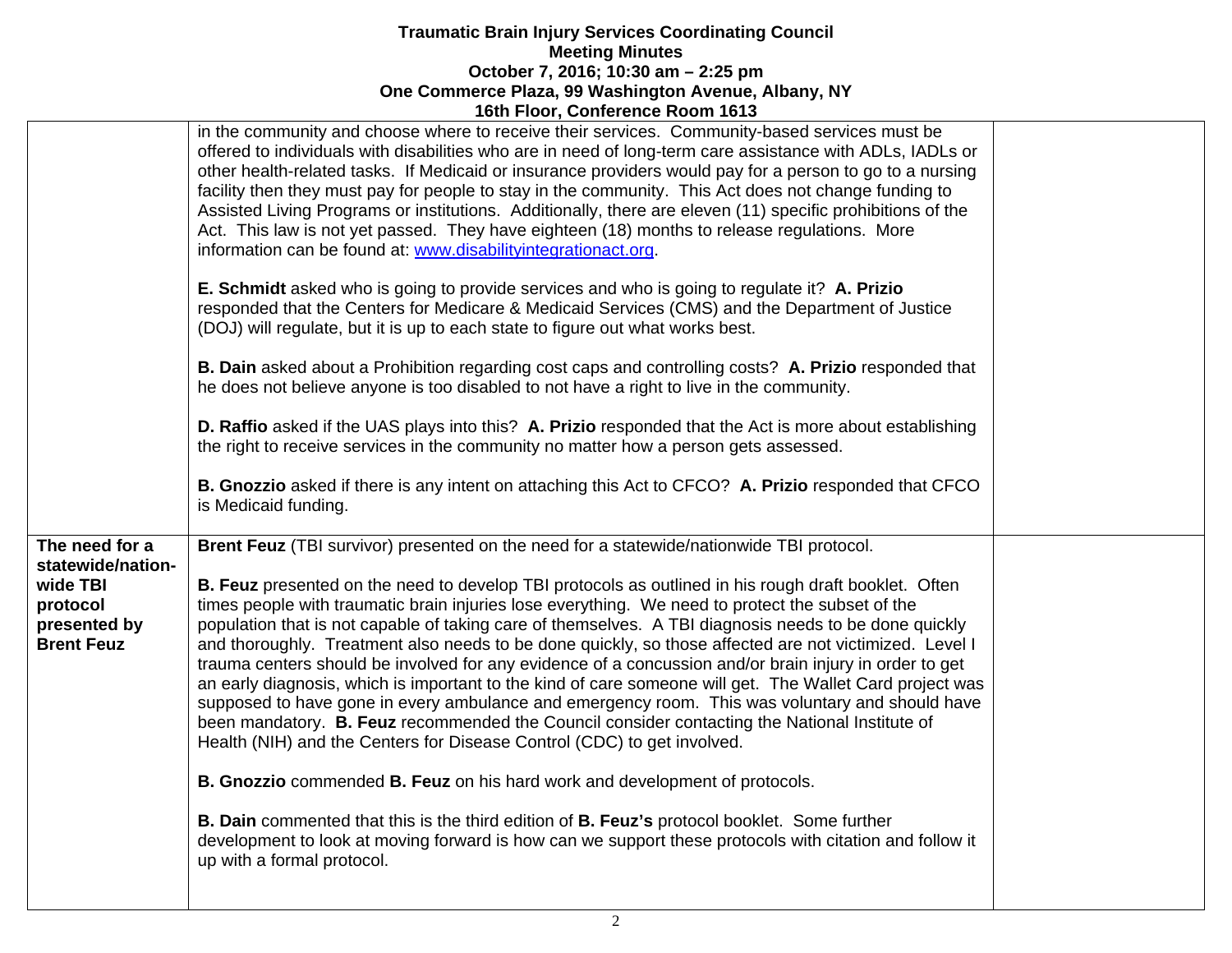|                                                                                | in the community and choose where to receive their services. Community-based services must be<br>offered to individuals with disabilities who are in need of long-term care assistance with ADLs, IADLs or<br>other health-related tasks. If Medicaid or insurance providers would pay for a person to go to a nursing<br>facility then they must pay for people to stay in the community. This Act does not change funding to<br>Assisted Living Programs or institutions. Additionally, there are eleven (11) specific prohibitions of the<br>Act. This law is not yet passed. They have eighteen (18) months to release regulations. More<br>information can be found at: www.disabilityintegrationact.org.                                                                                                                                                                                                                          |  |
|--------------------------------------------------------------------------------|-----------------------------------------------------------------------------------------------------------------------------------------------------------------------------------------------------------------------------------------------------------------------------------------------------------------------------------------------------------------------------------------------------------------------------------------------------------------------------------------------------------------------------------------------------------------------------------------------------------------------------------------------------------------------------------------------------------------------------------------------------------------------------------------------------------------------------------------------------------------------------------------------------------------------------------------|--|
|                                                                                | E. Schmidt asked who is going to provide services and who is going to regulate it? A. Prizio<br>responded that the Centers for Medicare & Medicaid Services (CMS) and the Department of Justice<br>(DOJ) will regulate, but it is up to each state to figure out what works best.                                                                                                                                                                                                                                                                                                                                                                                                                                                                                                                                                                                                                                                       |  |
|                                                                                | B. Dain asked about a Prohibition regarding cost caps and controlling costs? A. Prizio responded that<br>he does not believe anyone is too disabled to not have a right to live in the community.                                                                                                                                                                                                                                                                                                                                                                                                                                                                                                                                                                                                                                                                                                                                       |  |
|                                                                                | D. Raffio asked if the UAS plays into this? A. Prizio responded that the Act is more about establishing<br>the right to receive services in the community no matter how a person gets assessed.                                                                                                                                                                                                                                                                                                                                                                                                                                                                                                                                                                                                                                                                                                                                         |  |
|                                                                                | B. Gnozzio asked if there is any intent on attaching this Act to CFCO? A. Prizio responded that CFCO<br>is Medicaid funding.                                                                                                                                                                                                                                                                                                                                                                                                                                                                                                                                                                                                                                                                                                                                                                                                            |  |
| The need for a                                                                 | Brent Feuz (TBI survivor) presented on the need for a statewide/nationwide TBI protocol.                                                                                                                                                                                                                                                                                                                                                                                                                                                                                                                                                                                                                                                                                                                                                                                                                                                |  |
| statewide/nation-<br>wide TBI<br>protocol<br>presented by<br><b>Brent Feuz</b> | <b>B. Feuz</b> presented on the need to develop TBI protocols as outlined in his rough draft booklet. Often<br>times people with traumatic brain injuries lose everything. We need to protect the subset of the<br>population that is not capable of taking care of themselves. A TBI diagnosis needs to be done quickly<br>and thoroughly. Treatment also needs to be done quickly, so those affected are not victimized. Level I<br>trauma centers should be involved for any evidence of a concussion and/or brain injury in order to get<br>an early diagnosis, which is important to the kind of care someone will get. The Wallet Card project was<br>supposed to have gone in every ambulance and emergency room. This was voluntary and should have<br>been mandatory. B. Feuz recommended the Council consider contacting the National Institute of<br>Health (NIH) and the Centers for Disease Control (CDC) to get involved. |  |
|                                                                                | B. Gnozzio commended B. Feuz on his hard work and development of protocols.                                                                                                                                                                                                                                                                                                                                                                                                                                                                                                                                                                                                                                                                                                                                                                                                                                                             |  |
|                                                                                | B. Dain commented that this is the third edition of B. Feuz's protocol booklet. Some further<br>development to look at moving forward is how can we support these protocols with citation and follow it<br>up with a formal protocol.                                                                                                                                                                                                                                                                                                                                                                                                                                                                                                                                                                                                                                                                                                   |  |
|                                                                                |                                                                                                                                                                                                                                                                                                                                                                                                                                                                                                                                                                                                                                                                                                                                                                                                                                                                                                                                         |  |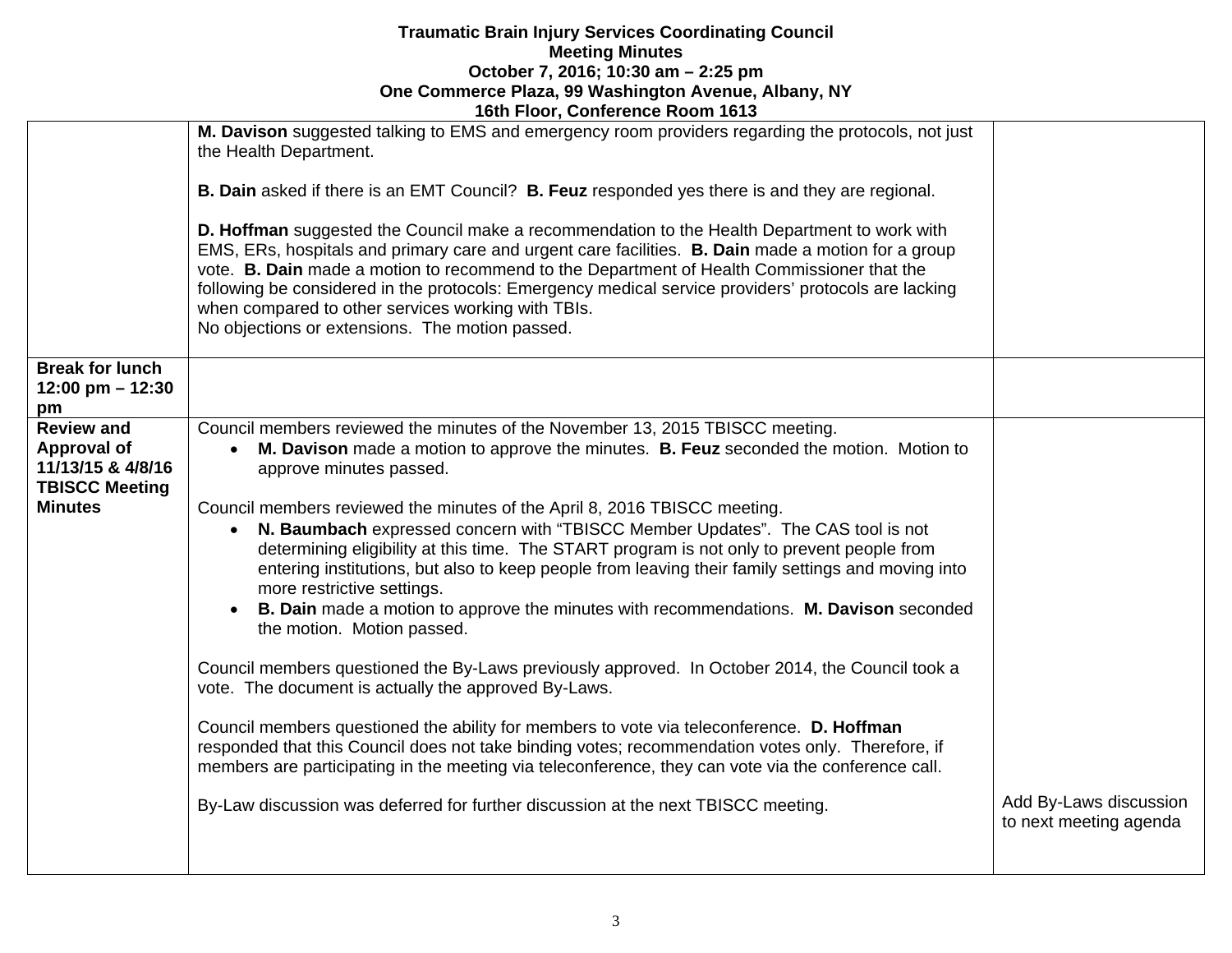|                                                                                | TOUT FIGOL, CONTEIGNCE KOOIN TO 19                                                                                                                                                                                                                                                                                                                                                                                                                                                                                    |                                                  |
|--------------------------------------------------------------------------------|-----------------------------------------------------------------------------------------------------------------------------------------------------------------------------------------------------------------------------------------------------------------------------------------------------------------------------------------------------------------------------------------------------------------------------------------------------------------------------------------------------------------------|--------------------------------------------------|
|                                                                                | M. Davison suggested talking to EMS and emergency room providers regarding the protocols, not just<br>the Health Department.                                                                                                                                                                                                                                                                                                                                                                                          |                                                  |
|                                                                                | <b>B. Dain</b> asked if there is an EMT Council? <b>B. Feuz</b> responded yes there is and they are regional.                                                                                                                                                                                                                                                                                                                                                                                                         |                                                  |
|                                                                                | D. Hoffman suggested the Council make a recommendation to the Health Department to work with<br>EMS, ERs, hospitals and primary care and urgent care facilities. B. Dain made a motion for a group<br>vote. B. Dain made a motion to recommend to the Department of Health Commissioner that the<br>following be considered in the protocols: Emergency medical service providers' protocols are lacking<br>when compared to other services working with TBIs.<br>No objections or extensions. The motion passed.     |                                                  |
| <b>Break for lunch</b><br>12:00 pm $-$ 12:30<br>pm                             |                                                                                                                                                                                                                                                                                                                                                                                                                                                                                                                       |                                                  |
| <b>Review and</b><br>Approval of<br>11/13/15 & 4/8/16<br><b>TBISCC Meeting</b> | Council members reviewed the minutes of the November 13, 2015 TBISCC meeting.<br>M. Davison made a motion to approve the minutes. B. Feuz seconded the motion. Motion to<br>$\bullet$<br>approve minutes passed.                                                                                                                                                                                                                                                                                                      |                                                  |
| <b>Minutes</b>                                                                 | Council members reviewed the minutes of the April 8, 2016 TBISCC meeting.<br>N. Baumbach expressed concern with "TBISCC Member Updates". The CAS tool is not<br>determining eligibility at this time. The START program is not only to prevent people from<br>entering institutions, but also to keep people from leaving their family settings and moving into<br>more restrictive settings.<br>B. Dain made a motion to approve the minutes with recommendations. M. Davison seconded<br>the motion. Motion passed. |                                                  |
|                                                                                | Council members questioned the By-Laws previously approved. In October 2014, the Council took a<br>vote. The document is actually the approved By-Laws.                                                                                                                                                                                                                                                                                                                                                               |                                                  |
|                                                                                | Council members questioned the ability for members to vote via teleconference. D. Hoffman<br>responded that this Council does not take binding votes; recommendation votes only. Therefore, if<br>members are participating in the meeting via teleconference, they can vote via the conference call.                                                                                                                                                                                                                 |                                                  |
|                                                                                | By-Law discussion was deferred for further discussion at the next TBISCC meeting.                                                                                                                                                                                                                                                                                                                                                                                                                                     | Add By-Laws discussion<br>to next meeting agenda |
|                                                                                |                                                                                                                                                                                                                                                                                                                                                                                                                                                                                                                       |                                                  |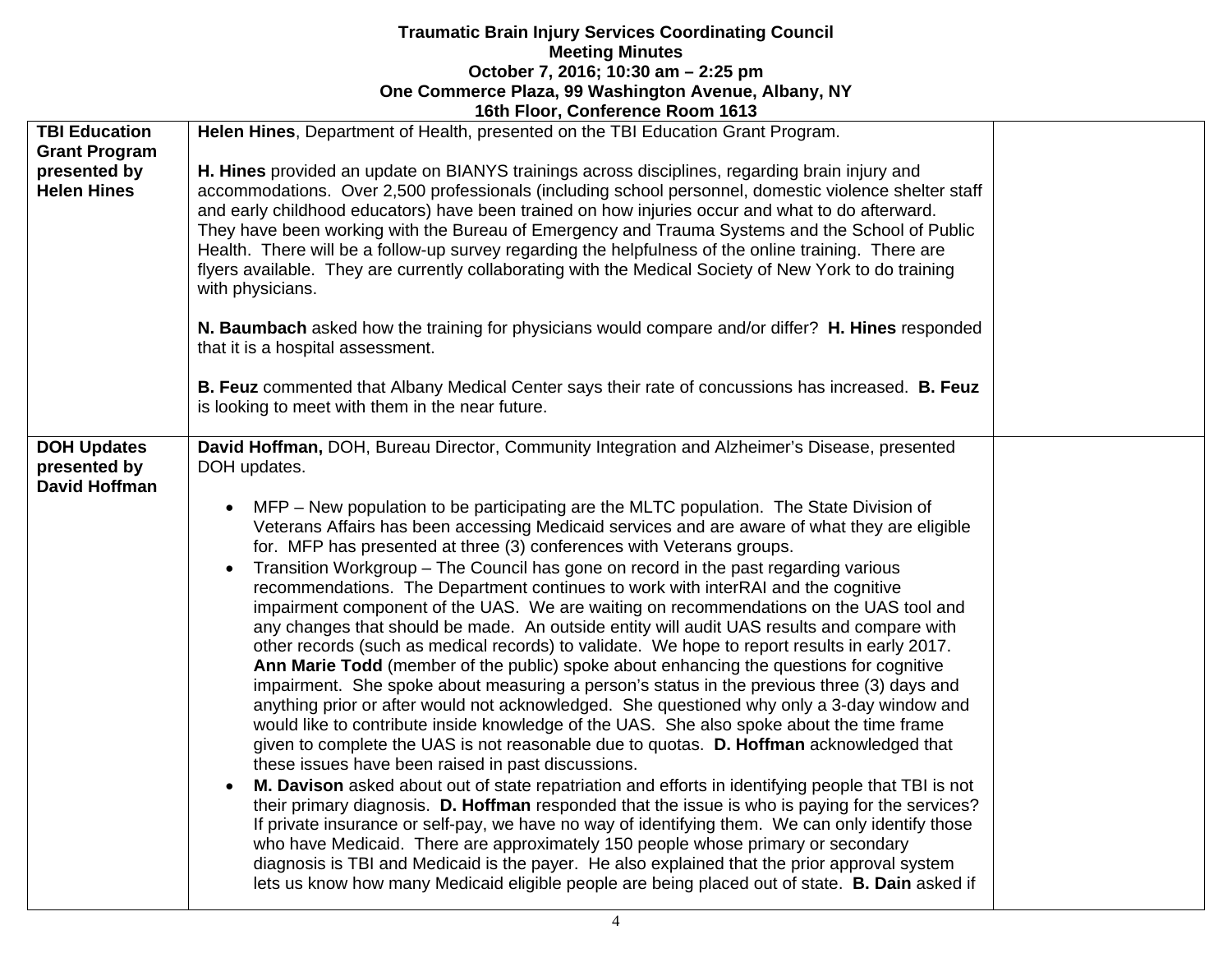|                                                            | TOUT FIGOT, COMETENCE NOONT TOTS                                                                                                                                                                                                                                                                                                                                                                                                                                                                                                                                                                                                                                                                                                                                                                                                                                                                                                                                                                                                                                                                                                                                                                                                                                                                                                                                                                                                                                                                                                                                                                                                                                                                                                                                                                                                                                                                                                                                                                |  |
|------------------------------------------------------------|-------------------------------------------------------------------------------------------------------------------------------------------------------------------------------------------------------------------------------------------------------------------------------------------------------------------------------------------------------------------------------------------------------------------------------------------------------------------------------------------------------------------------------------------------------------------------------------------------------------------------------------------------------------------------------------------------------------------------------------------------------------------------------------------------------------------------------------------------------------------------------------------------------------------------------------------------------------------------------------------------------------------------------------------------------------------------------------------------------------------------------------------------------------------------------------------------------------------------------------------------------------------------------------------------------------------------------------------------------------------------------------------------------------------------------------------------------------------------------------------------------------------------------------------------------------------------------------------------------------------------------------------------------------------------------------------------------------------------------------------------------------------------------------------------------------------------------------------------------------------------------------------------------------------------------------------------------------------------------------------------|--|
| <b>TBI Education</b>                                       | Helen Hines, Department of Health, presented on the TBI Education Grant Program.                                                                                                                                                                                                                                                                                                                                                                                                                                                                                                                                                                                                                                                                                                                                                                                                                                                                                                                                                                                                                                                                                                                                                                                                                                                                                                                                                                                                                                                                                                                                                                                                                                                                                                                                                                                                                                                                                                                |  |
| <b>Grant Program</b><br>presented by<br><b>Helen Hines</b> | H. Hines provided an update on BIANYS trainings across disciplines, regarding brain injury and<br>accommodations. Over 2,500 professionals (including school personnel, domestic violence shelter staff<br>and early childhood educators) have been trained on how injuries occur and what to do afterward.<br>They have been working with the Bureau of Emergency and Trauma Systems and the School of Public<br>Health. There will be a follow-up survey regarding the helpfulness of the online training. There are<br>flyers available. They are currently collaborating with the Medical Society of New York to do training<br>with physicians.                                                                                                                                                                                                                                                                                                                                                                                                                                                                                                                                                                                                                                                                                                                                                                                                                                                                                                                                                                                                                                                                                                                                                                                                                                                                                                                                            |  |
|                                                            | N. Baumbach asked how the training for physicians would compare and/or differ? H. Hines responded<br>that it is a hospital assessment.                                                                                                                                                                                                                                                                                                                                                                                                                                                                                                                                                                                                                                                                                                                                                                                                                                                                                                                                                                                                                                                                                                                                                                                                                                                                                                                                                                                                                                                                                                                                                                                                                                                                                                                                                                                                                                                          |  |
|                                                            | B. Feuz commented that Albany Medical Center says their rate of concussions has increased. B. Feuz<br>is looking to meet with them in the near future.                                                                                                                                                                                                                                                                                                                                                                                                                                                                                                                                                                                                                                                                                                                                                                                                                                                                                                                                                                                                                                                                                                                                                                                                                                                                                                                                                                                                                                                                                                                                                                                                                                                                                                                                                                                                                                          |  |
| <b>DOH Updates</b><br>presented by<br><b>David Hoffman</b> | David Hoffman, DOH, Bureau Director, Community Integration and Alzheimer's Disease, presented<br>DOH updates.<br>MFP – New population to be participating are the MLTC population. The State Division of<br>Veterans Affairs has been accessing Medicaid services and are aware of what they are eligible<br>for. MFP has presented at three (3) conferences with Veterans groups.<br>Transition Workgroup - The Council has gone on record in the past regarding various<br>recommendations. The Department continues to work with interRAI and the cognitive<br>impairment component of the UAS. We are waiting on recommendations on the UAS tool and<br>any changes that should be made. An outside entity will audit UAS results and compare with<br>other records (such as medical records) to validate. We hope to report results in early 2017.<br>Ann Marie Todd (member of the public) spoke about enhancing the questions for cognitive<br>impairment. She spoke about measuring a person's status in the previous three (3) days and<br>anything prior or after would not acknowledged. She questioned why only a 3-day window and<br>would like to contribute inside knowledge of the UAS. She also spoke about the time frame<br>given to complete the UAS is not reasonable due to quotas. D. Hoffman acknowledged that<br>these issues have been raised in past discussions.<br>M. Davison asked about out of state repatriation and efforts in identifying people that TBI is not<br>their primary diagnosis. D. Hoffman responded that the issue is who is paying for the services?<br>If private insurance or self-pay, we have no way of identifying them. We can only identify those<br>who have Medicaid. There are approximately 150 people whose primary or secondary<br>diagnosis is TBI and Medicaid is the payer. He also explained that the prior approval system<br>lets us know how many Medicaid eligible people are being placed out of state. B. Dain asked if |  |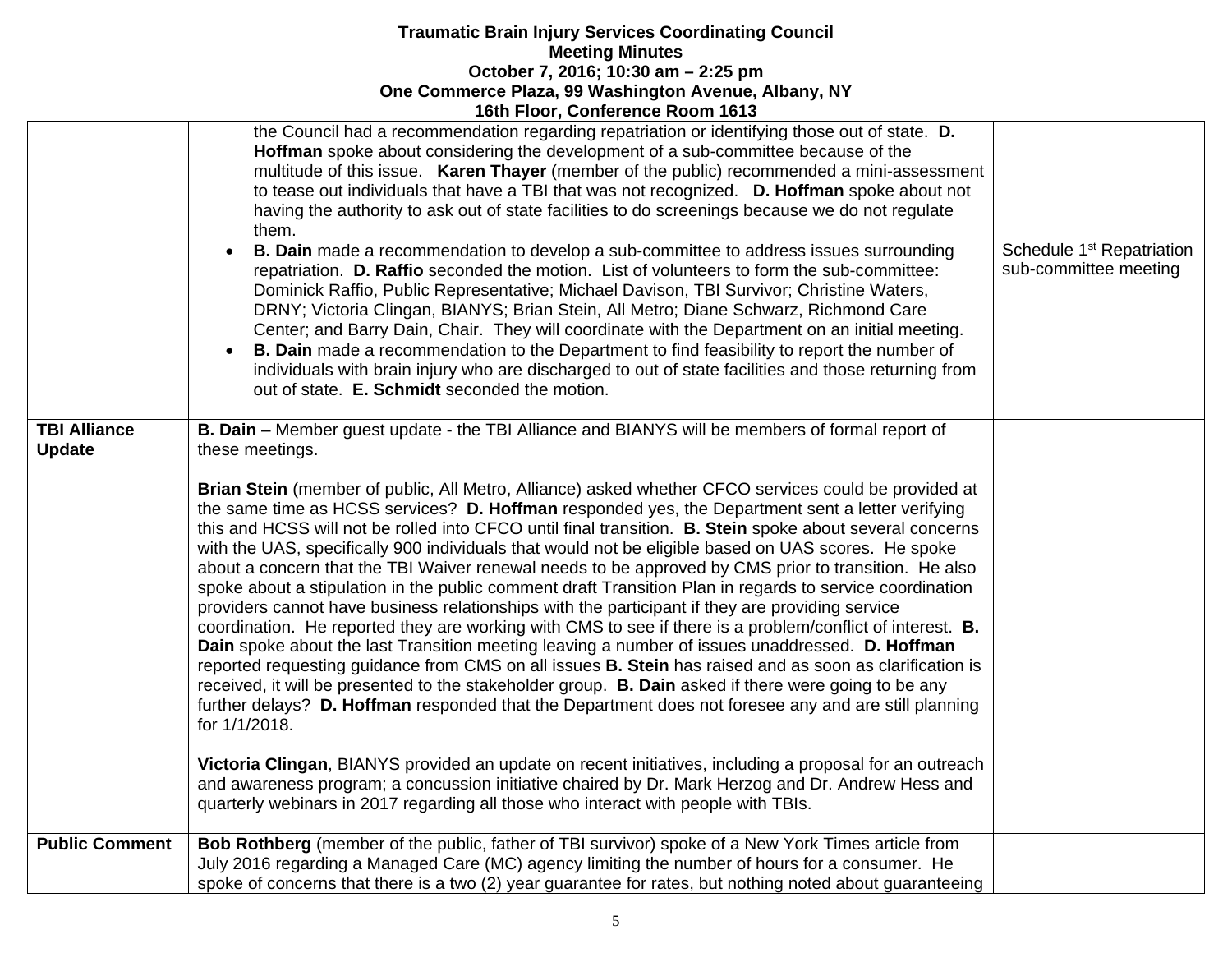|                                      | <u> 1988 - 1998 - 1998 1998 - 1998 - 1998 - 1998 - 1999 - 1999 - 1999 - 1999 - 1999 - 1999 - 1999 - 19</u>                                                                                                                                                                                                                                                                                                                                                                                                                                                                                                                                                                                                                                                                                                                                                                                                                                                                                                                                                                                                                                                                                                                                                                                                                                                                                                                                                                                                                                                                                                                                                                                                                                               |                                                                |
|--------------------------------------|----------------------------------------------------------------------------------------------------------------------------------------------------------------------------------------------------------------------------------------------------------------------------------------------------------------------------------------------------------------------------------------------------------------------------------------------------------------------------------------------------------------------------------------------------------------------------------------------------------------------------------------------------------------------------------------------------------------------------------------------------------------------------------------------------------------------------------------------------------------------------------------------------------------------------------------------------------------------------------------------------------------------------------------------------------------------------------------------------------------------------------------------------------------------------------------------------------------------------------------------------------------------------------------------------------------------------------------------------------------------------------------------------------------------------------------------------------------------------------------------------------------------------------------------------------------------------------------------------------------------------------------------------------------------------------------------------------------------------------------------------------|----------------------------------------------------------------|
|                                      | the Council had a recommendation regarding repatriation or identifying those out of state. D.<br>Hoffman spoke about considering the development of a sub-committee because of the<br>multitude of this issue. Karen Thayer (member of the public) recommended a mini-assessment<br>to tease out individuals that have a TBI that was not recognized. D. Hoffman spoke about not<br>having the authority to ask out of state facilities to do screenings because we do not regulate<br>them.<br><b>B. Dain</b> made a recommendation to develop a sub-committee to address issues surrounding<br>repatriation. D. Raffio seconded the motion. List of volunteers to form the sub-committee:<br>Dominick Raffio, Public Representative; Michael Davison, TBI Survivor; Christine Waters,<br>DRNY; Victoria Clingan, BIANYS; Brian Stein, All Metro; Diane Schwarz, Richmond Care<br>Center; and Barry Dain, Chair. They will coordinate with the Department on an initial meeting.<br>B. Dain made a recommendation to the Department to find feasibility to report the number of<br>individuals with brain injury who are discharged to out of state facilities and those returning from<br>out of state. E. Schmidt seconded the motion.                                                                                                                                                                                                                                                                                                                                                                                                                                                                                                                | Schedule 1 <sup>st</sup> Repatriation<br>sub-committee meeting |
| <b>TBI Alliance</b><br><b>Update</b> | B. Dain - Member guest update - the TBI Alliance and BIANYS will be members of formal report of<br>these meetings.<br>Brian Stein (member of public, All Metro, Alliance) asked whether CFCO services could be provided at<br>the same time as HCSS services? D. Hoffman responded yes, the Department sent a letter verifying<br>this and HCSS will not be rolled into CFCO until final transition. B. Stein spoke about several concerns<br>with the UAS, specifically 900 individuals that would not be eligible based on UAS scores. He spoke<br>about a concern that the TBI Waiver renewal needs to be approved by CMS prior to transition. He also<br>spoke about a stipulation in the public comment draft Transition Plan in regards to service coordination<br>providers cannot have business relationships with the participant if they are providing service<br>coordination. He reported they are working with CMS to see if there is a problem/conflict of interest. <b>B.</b><br>Dain spoke about the last Transition meeting leaving a number of issues unaddressed. D. Hoffman<br>reported requesting guidance from CMS on all issues <b>B. Stein</b> has raised and as soon as clarification is<br>received, it will be presented to the stakeholder group. B. Dain asked if there were going to be any<br>further delays? D. Hoffman responded that the Department does not foresee any and are still planning<br>for 1/1/2018.<br>Victoria Clingan, BIANYS provided an update on recent initiatives, including a proposal for an outreach<br>and awareness program; a concussion initiative chaired by Dr. Mark Herzog and Dr. Andrew Hess and<br>quarterly webinars in 2017 regarding all those who interact with people with TBIs. |                                                                |
| <b>Public Comment</b>                | Bob Rothberg (member of the public, father of TBI survivor) spoke of a New York Times article from<br>July 2016 regarding a Managed Care (MC) agency limiting the number of hours for a consumer. He<br>spoke of concerns that there is a two (2) year guarantee for rates, but nothing noted about guaranteeing                                                                                                                                                                                                                                                                                                                                                                                                                                                                                                                                                                                                                                                                                                                                                                                                                                                                                                                                                                                                                                                                                                                                                                                                                                                                                                                                                                                                                                         |                                                                |